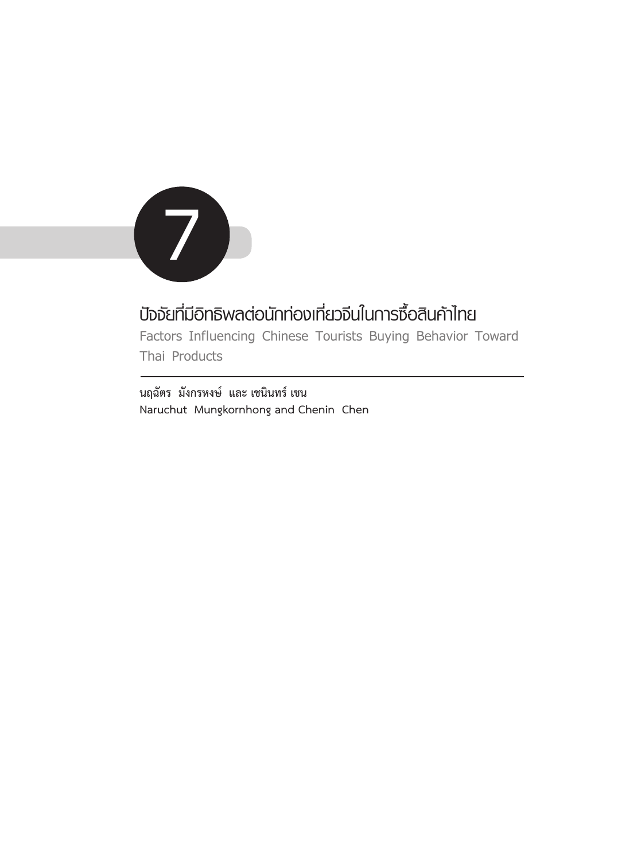

# **ปัจจัยที่มีอิทธิพลต่อนักท่องเที่ยวจีนในการซื้อสินค้าไทย**

**Factors Influencing Chinese Tourists Buying Behavior Toward Thai Products** 

**นฤฉัตร มังกรหงษ์ และ เชนินทร์ เชน Naruchut Mungkornhong and Chenin Chen**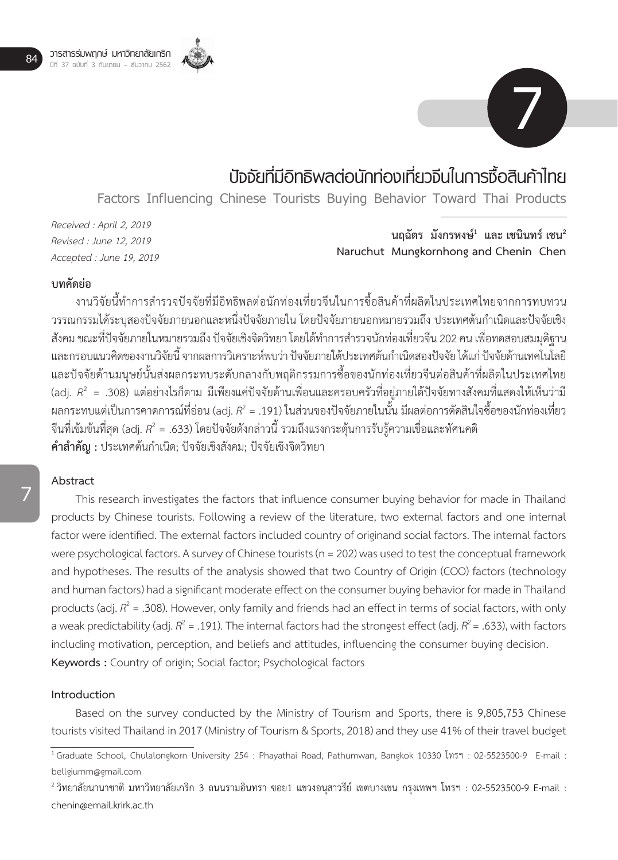



# **ปัจจัยที่มีอิทธิพลต่อนักท่องเที่ยวจีนในการซื้อสินค้าไทย**

**Factors Influencing Chinese Tourists Buying Behavior Toward Thai Products** 

*Received : April 2, 2019 Revised : June 12, 2019 Accepted : June 19, 2019*

นฤฉัตร มังกรหงษ์<sup>1</sup> และ เชนินทร์ เชน<sup>2</sup> **Naruchut Mungkornhong and Chenin Chen**

# **บทคัดย่อ**

งานวิจัยนี้ทำการสำรวจปัจจัยที่มีอิทธิพลต่อนักท่องเที่ยวจีนในการซื้อสินค้าที่ผลิตในประเทศไทยจากการทบทวน วรรณกรรมได้ระบุสองปัจจัยภายนอกและหนึ่งปัจจัยภายใน โดยปัจจัยภายนอกหมายรวมถึง ประเทศต้นกำเนิดและปัจจัยเชิง ้สังคม ขณะที่ปัจจัยภายในหมายรวมถึง ปัจจัยเชิงจิตวิทยา โดยได้ทำการสำรวจนักท่องเที่ยวจีน 202 คน เพื่อทดสอบสมมุติฐาน และกรอบแนวคิดของงานวิจัยนี้ จากผลการวิเคราะห์พบว่า ปัจจัยภายใต้ประเทศต้นกำเนิดสองปัจจัย ได้แก่ ปัจจัยด้านเทคโนโลยี และปัจจัยด้านมนุษย์นั้นส่งผลกระทบระดับกลางกับพฤติกรรมการซื้อของนักท่องเที่ยวจีนต่อสินค้าที่ผลิตในประเทศไทย (adj. *R*2 = .308) แต่อย่างไรก็ตาม มีเพียงแค่ปัจจัยด้านเพื่อนและครอบครัวที่อยู่ภายใต้ปัจจัยทางสังคมที่แสดงให้เห็นว่ามี ผลกระทบแต่เป็นการคาดการณ์ที่อ่อน (adj.  $R^2$  = .191) ในส่วนของปัจจัยภายในนั้น มีผลต่อการตัดสินใจซื้อของนักท่องเที่ยว จีนที่เข้มข้นที่สุด (adj.  $R^2 = .633$ ) โดยปัจจัยดังกล่าวนี้ รวมถึงแรงกระตุ้นการรับรู้ความเชื่อและทัศนคติ **ค�ำส�ำคัญ :** ประเทศต้นก�ำเนิด; ปัจจัยเชิงสังคม; ปัจจัยเชิงจิตวิทยา

# **7**

# **Abstract**

This research investigates the factors that influence consumer buying behavior for made in Thailand products by Chinese tourists. Following a review of the literature, two external factors and one internal factor were identified. The external factors included country of originand social factors. The internal factors were psychological factors. A survey of Chinese tourists (n = 202) was used to test the conceptual framework and hypotheses. The results of the analysis showed that two Country of Origin (COO) factors (technology and human factors) had a significant moderate effect on the consumer buying behavior for made in Thailand products (adj.  $R^2$  = .308). However, only family and friends had an effect in terms of social factors, with only a weak predictability (adj.  $R^2$  = .191). The internal factors had the strongest effect (adj.  $R^2$  = .633), with factors including motivation, perception, and beliefs and attitudes, influencing the consumer buying decision. **Keywords :** Country of origin; Social factor; Psychological factors

#### **Introduction**

Based on the survey conducted by the Ministry of Tourism and Sports, there is 9,805,753 Chinese tourists visited Thailand in 2017 (Ministry of Tourism & Sports, 2018) and they use 41% of their travel budget

<sup>1</sup>Graduate School, Chulalongkorn University 254 : Phayathai Road, Pathumwan, Bangkok 10330 โทรฯ : 02-5523500-9 E-mail : bellgiumm@gmail.com

 $^{\text{2}}$ วิทยาลัยนานาชาติ มหาวิทยาลัยเกริก 3 ถนนรามอินทรา ซอย1 แขวงอนุสาวรีย์ เขตบางเขน กรุงเทพฯ โทรฯ : 02-5523500-9 E-mail : chenin@email.krirk.ac.th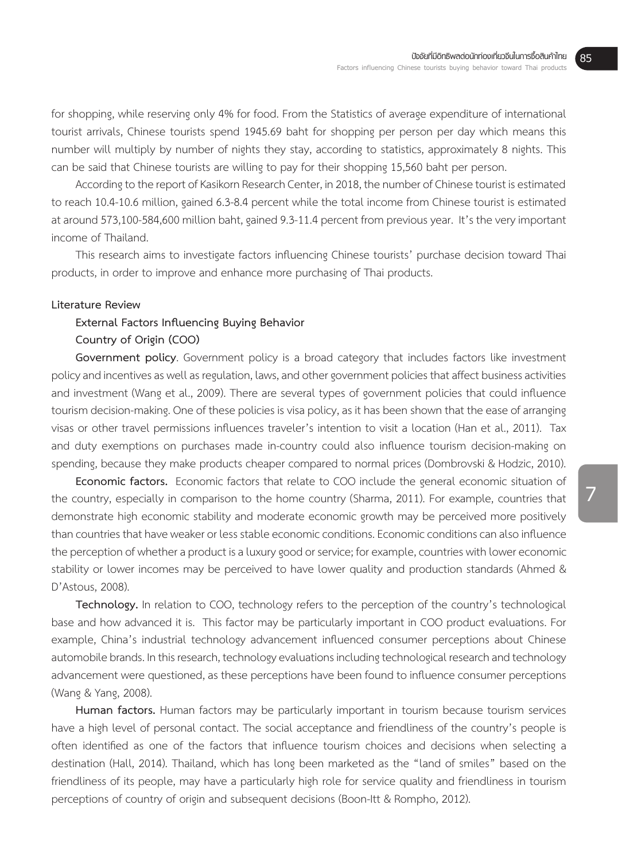for shopping, while reserving only 4% for food. From the Statistics of average expenditure of international tourist arrivals, Chinese tourists spend 1945.69 baht for shopping per person per day which means this number will multiply by number of nights they stay, according to statistics, approximately 8 nights. This can be said that Chinese tourists are willing to pay for their shopping 15,560 baht per person.

According to the report of Kasikorn Research Center, in 2018, the number of Chinese tourist is estimated to reach 10.4-10.6 million, gained 6.3-8.4 percent while the total income from Chinese tourist is estimated at around 573,100-584,600 million baht, gained 9.3-11.4 percent from previous year. It's the very important income of Thailand.

This research aims to investigate factors influencing Chinese tourists' purchase decision toward Thai products, in order to improve and enhance more purchasing of Thai products.

#### **Literature Review**

# **External Factors Influencing Buying Behavior**

### **Country of Origin (COO)**

**Government policy**. Government policy is a broad category that includes factors like investment policy and incentives as well as regulation, laws, and other government policies that affect business activities and investment (Wang et al., 2009). There are several types of government policies that could influence tourism decision-making. One of these policies is visa policy, as it has been shown that the ease of arranging visas or other travel permissions influences traveler's intention to visit a location (Han et al., 2011). Tax and duty exemptions on purchases made in-country could also influence tourism decision-making on spending, because they make products cheaper compared to normal prices (Dombrovski & Hodzic, 2010).

**Economic factors.** Economic factors that relate to COO include the general economic situation of the country, especially in comparison to the home country (Sharma, 2011). For example, countries that demonstrate high economic stability and moderate economic growth may be perceived more positively than countries that have weaker or less stable economic conditions. Economic conditions can also influence the perception of whether a product is a luxury good or service; for example, countries with lower economic stability or lower incomes may be perceived to have lower quality and production standards (Ahmed & D'Astous, 2008).

**Technology.** In relation to COO, technology refers to the perception of the country's technological base and how advanced it is. This factor may be particularly important in COO product evaluations. For example, China's industrial technology advancement influenced consumer perceptions about Chinese automobile brands. In this research, technology evaluations including technological research and technology advancement were questioned, as these perceptions have been found to influence consumer perceptions (Wang & Yang, 2008).

**Human factors.** Human factors may be particularly important in tourism because tourism services have a high level of personal contact. The social acceptance and friendliness of the country's people is often identified as one of the factors that influence tourism choices and decisions when selecting a destination (Hall, 2014). Thailand, which has long been marketed as the "land of smiles" based on the friendliness of its people, may have a particularly high role for service quality and friendliness in tourism perceptions of country of origin and subsequent decisions (Boon-Itt & Rompho, 2012).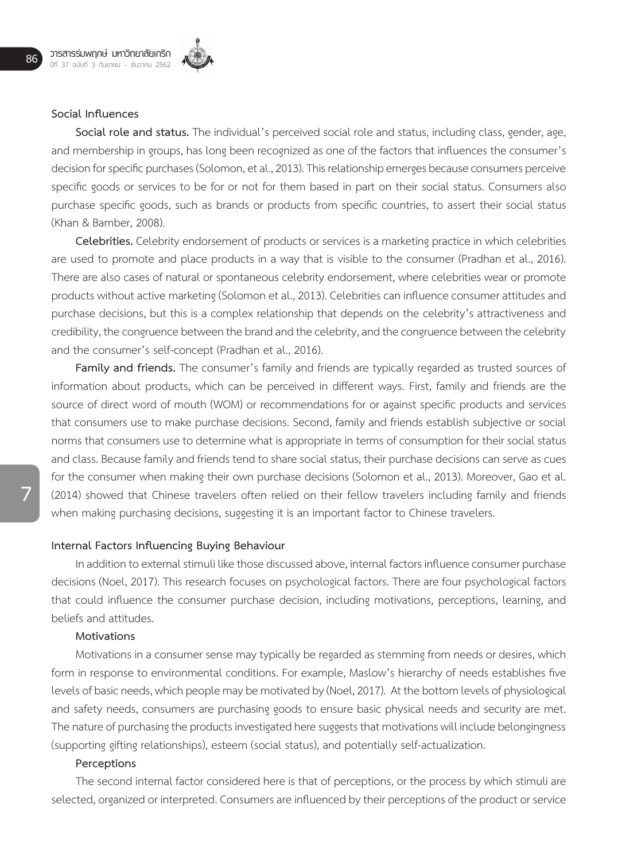

#### **Social Influences**

**Social role and status.** The individual's perceived social role and status, including class, gender, age, and membership in groups, has long been recognized as one of the factors that influences the consumer's decision for specific purchases (Solomon, et al., 2013). This relationship emerges because consumers perceive specific goods or services to be for or not for them based in part on their social status. Consumers also purchase specific goods, such as brands or products from specific countries, to assert their social status (Khan & Bamber, 2008).

**Celebrities.** Celebrity endorsement of products or services is a marketing practice in which celebrities are used to promote and place products in a way that is visible to the consumer (Pradhan et al., 2016). There are also cases of natural or spontaneous celebrity endorsement, where celebrities wear or promote products without active marketing (Solomon et al., 2013). Celebrities can influence consumer attitudes and purchase decisions, but this is a complex relationship that depends on the celebrity's attractiveness and credibility, the congruence between the brand and the celebrity, and the congruence between the celebrity and the consumer's self-concept (Pradhan et al., 2016).

**Family and friends.** The consumer's family and friends are typically regarded as trusted sources of information about products, which can be perceived in different ways. First, family and friends are the source of direct word of mouth (WOM) or recommendations for or against specific products and services that consumers use to make purchase decisions. Second, family and friends establish subjective or social norms that consumers use to determine what is appropriate in terms of consumption for their social status and class. Because family and friends tend to share social status, their purchase decisions can serve as cues for the consumer when making their own purchase decisions (Solomon et al., 2013). Moreover, Gao et al. (2014) showed that Chinese travelers often relied on their fellow travelers including family and friends when making purchasing decisions, suggesting it is an important factor to Chinese travelers.

#### **Internal Factors Influencing Buying Behaviour**

In addition to external stimuli like those discussed above, internal factors influence consumer purchase decisions (Noel, 2017). This research focuses on psychological factors. There are four psychological factors that could influence the consumer purchase decision, including motivations, perceptions, learning, and beliefs and attitudes.

#### **Motivations**

Motivations in a consumer sense may typically be regarded as stemming from needs or desires, which form in response to environmental conditions. For example, Maslow's hierarchy of needs establishes five levels of basic needs, which people may be motivated by (Noel, 2017). At the bottom levels of physiological and safety needs, consumers are purchasing goods to ensure basic physical needs and security are met. The nature of purchasing the products investigated here suggests that motivations will include belongingness (supporting gifting relationships), esteem (social status), and potentially self-actualization.

#### **Perceptions**

The second internal factor considered here is that of perceptions, or the process by which stimuli are selected, organized or interpreted. Consumers are influenced by their perceptions of the product or service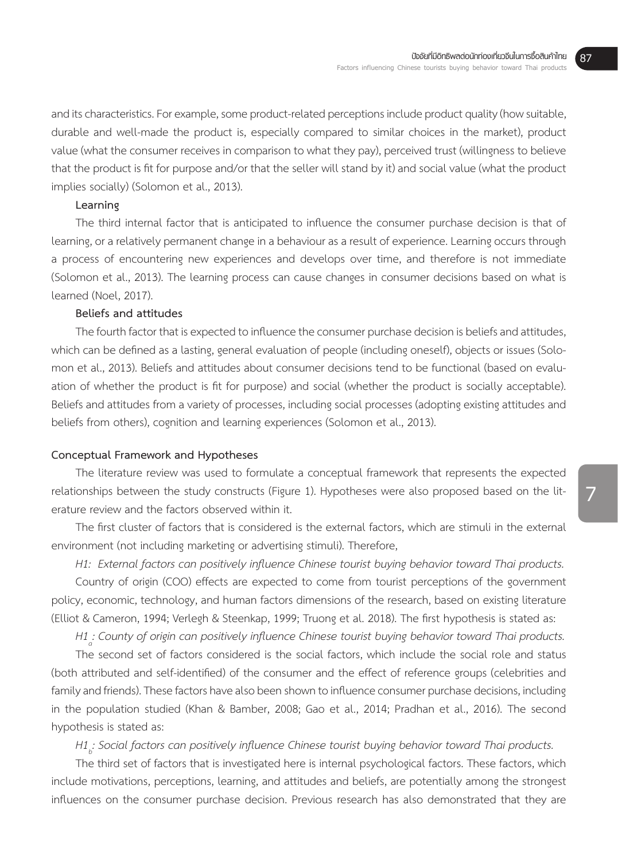and its characteristics. For example, some product-related perceptions include product quality (how suitable, durable and well-made the product is, especially compared to similar choices in the market), product value (what the consumer receives in comparison to what they pay), perceived trust (willingness to believe that the product is fit for purpose and/or that the seller will stand by it) and social value (what the product implies socially) (Solomon et al., 2013).

# **Learning**

The third internal factor that is anticipated to influence the consumer purchase decision is that of learning, or a relatively permanent change in a behaviour as a result of experience. Learning occurs through a process of encountering new experiences and develops over time, and therefore is not immediate (Solomon et al., 2013). The learning process can cause changes in consumer decisions based on what is learned (Noel, 2017).

# **Beliefs and attitudes**

The fourth factor that is expected to influence the consumer purchase decision is beliefs and attitudes, which can be defined as a lasting, general evaluation of people (including oneself), objects or issues (Solomon et al., 2013). Beliefs and attitudes about consumer decisions tend to be functional (based on evaluation of whether the product is fit for purpose) and social (whether the product is socially acceptable). Beliefs and attitudes from a variety of processes, including social processes (adopting existing attitudes and beliefs from others), cognition and learning experiences (Solomon et al., 2013).

#### **Conceptual Framework and Hypotheses**

The literature review was used to formulate a conceptual framework that represents the expected relationships between the study constructs (Figure 1). Hypotheses were also proposed based on the literature review and the factors observed within it.

The first cluster of factors that is considered is the external factors, which are stimuli in the external environment (not including marketing or advertising stimuli). Therefore,

*H1: External factors can positively influence Chinese tourist buying behavior toward Thai products.* 

Country of origin (COO) effects are expected to come from tourist perceptions of the government policy, economic, technology, and human factors dimensions of the research, based on existing literature (Elliot & Cameron, 1994; Verlegh & Steenkap, 1999; Truong et al. 2018). The first hypothesis is stated as:

*H1a : County of origin can positively influence Chinese tourist buying behavior toward Thai products.* 

The second set of factors considered is the social factors, which include the social role and status (both attributed and self-identified) of the consumer and the effect of reference groups (celebrities and family and friends). These factors have also been shown to influence consumer purchase decisions, including in the population studied (Khan & Bamber, 2008; Gao et al., 2014; Pradhan et al., 2016). The second hypothesis is stated as:

*H1 b : Social factors can positively influence Chinese tourist buying behavior toward Thai products.* 

The third set of factors that is investigated here is internal psychological factors. These factors, which include motivations, perceptions, learning, and attitudes and beliefs, are potentially among the strongest influences on the consumer purchase decision. Previous research has also demonstrated that they are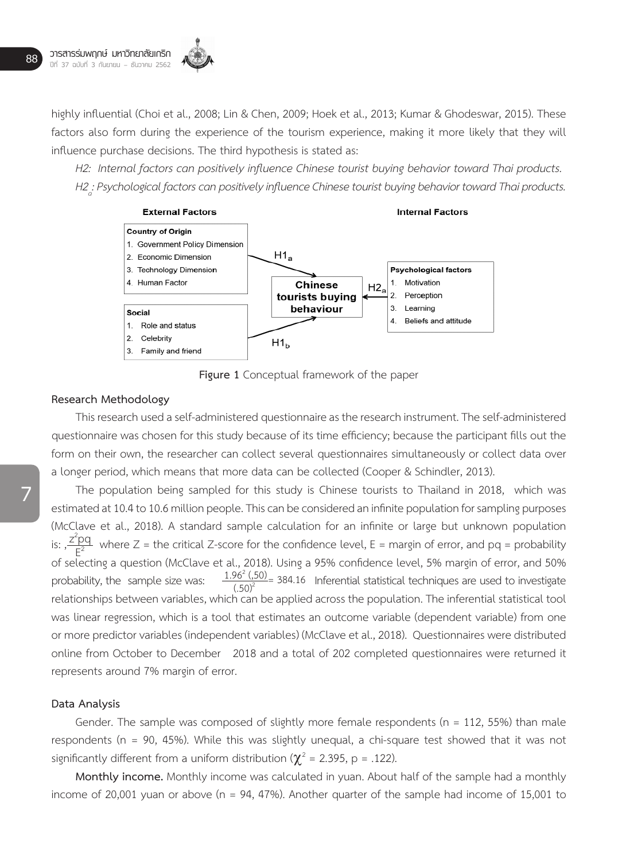highly influential (Choi et al., 2008; Lin & Chen, 2009; Hoek et al., 2013; Kumar & Ghodeswar, 2015). These factors also form during the experience of the tourism experience, making it more likely that they will influence purchase decisions. The third hypothesis is stated as:

*H2: Internal factors can positively influence Chinese tourist buying behavior toward Thai products. H2* : Psychological factors can positively influence Chinese tourist buying behavior toward Thai products.



**Figure 1** Conceptual framework of the paper

#### **Research Methodology**

This research used a self-administered questionnaire as the research instrument. The self-administered questionnaire was chosen for this study because of its time efficiency; because the participant fills out the form on their own, the researcher can collect several questionnaires simultaneously or collect data over a longer period, which means that more data can be collected (Cooper & Schindler, 2013).

The population being sampled for this study is Chinese tourists to Thailand in 2018, which was estimated at 10.4 to 10.6 million people. This can be considered an infinite population for sampling purposes (McClave et al., 2018). A standard sample calculation for an infinite or large but unknown population is:  $\frac{z^2pq}{r^2}$  where Z = the critical Z-score for the confidence level, E = margin of error, and pq = probability of selecting a question (McClave et al., 2018). Using a 95% confidence level, 5% margin of error, and 50% probability, the sample size was:  $\frac{1.96^2 (.50)}{(.50)^2}$  384.16 Inferential statistical techniques are used to investigate relationships between variables, which can be applied across the population. The inferential statistical tool was linear regression, which is a tool that estimates an outcome variable (dependent variable) from one or more predictor variables (independent variables) (McClave et al., 2018). Questionnaires were distributed online from October to December 2018 and a total of 202 completed questionnaires were returned it represents around 7% margin of error.  $E^2$ 

#### **Data Analysis**

Gender. The sample was composed of slightly more female respondents ( $n = 112$ , 55%) than male respondents (n = 90, 45%). While this was slightly unequal, a chi-square test showed that it was not significantly different from a uniform distribution ( $\chi^2$  = 2.395, p = .122).

**Monthly income.** Monthly income was calculated in yuan. About half of the sample had a monthly income of 20,001 yuan or above (n = 94, 47%). Another quarter of the sample had income of 15,001 to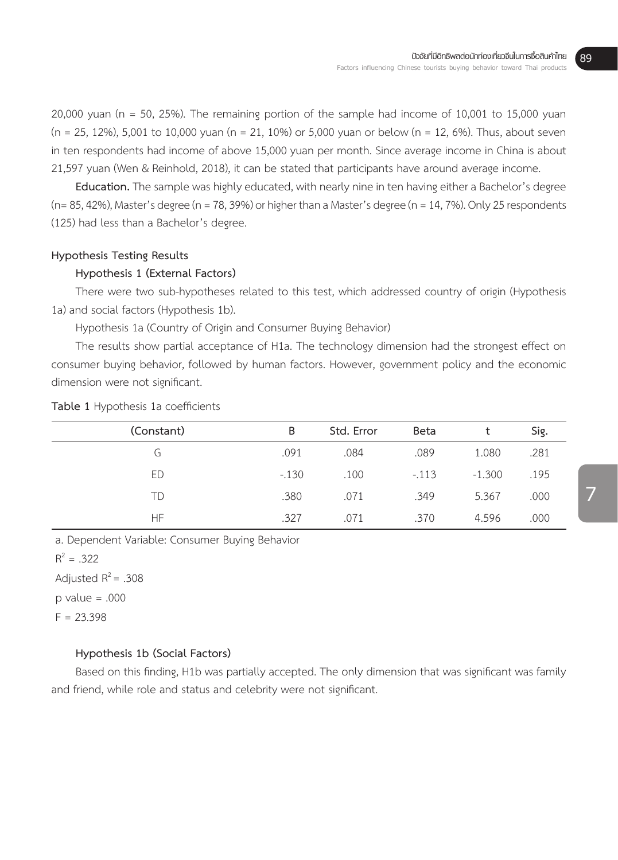20,000 yuan (n = 50, 25%). The remaining portion of the sample had income of 10,001 to 15,000 yuan  $(n = 25, 12\%)$ , 5,001 to 10,000 yuan  $(n = 21, 10\%)$  or 5,000 yuan or below  $(n = 12, 6\%)$ . Thus, about seven in ten respondents had income of above 15,000 yuan per month. Since average income in China is about 21,597 yuan (Wen & Reinhold, 2018), it can be stated that participants have around average income.

**Education.** The sample was highly educated, with nearly nine in ten having either a Bachelor's degree (n= 85, 42%), Master's degree (n = 78, 39%) or higher than a Master's degree (n = 14, 7%). Only 25 respondents (125) had less than a Bachelor's degree.

## **Hypothesis Testing Results**

# **Hypothesis 1 (External Factors)**

There were two sub-hypotheses related to this test, which addressed country of origin (Hypothesis 1a) and social factors (Hypothesis 1b).

Hypothesis 1a (Country of Origin and Consumer Buying Behavior)

The results show partial acceptance of H1a. The technology dimension had the strongest effect on consumer buying behavior, followed by human factors. However, government policy and the economic dimension were not significant.

| (Constant) | B      | Std. Error | <b>Beta</b> |          | Sig. |
|------------|--------|------------|-------------|----------|------|
| G          | .091   | .084       | .089        | 1.080    | .281 |
| ED         | $-130$ | .100       | $-.113$     | $-1.300$ | .195 |
| TD         | .380   | .071       | .349        | 5.367    | .000 |
| HF.        | .327   | .071       | .370        | 4.596    | .000 |

**Table 1** Hypothesis 1a coefficients

a. Dependent Variable: Consumer Buying Behavior

 $R^2 = .322$ 

Adjusted  $R^2$  = .308

 $p$  value = .000

 $F = 23.398$ 

#### **Hypothesis 1b (Social Factors)**

Based on this finding, H1b was partially accepted. The only dimension that was significant was family and friend, while role and status and celebrity were not significant.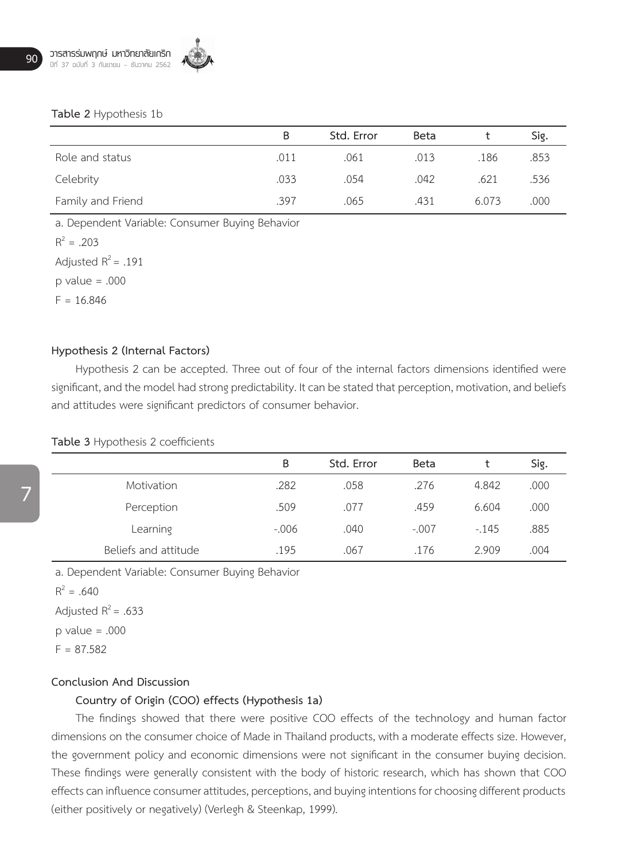

#### **Table 2** Hypothesis 1b

|                   | B    | Std. Error | <b>Beta</b> |       | Sig. |
|-------------------|------|------------|-------------|-------|------|
| Role and status   | .011 | .061       | .013        | .186  | .853 |
| Celebrity         | .033 | .054       | .042        | .621  | .536 |
| Family and Friend | .397 | .065       | .431        | 6.073 | .000 |

a. Dependent Variable: Consumer Buying Behavior

 $R^2 = .203$ 

Adjusted  $R^2$  = .191

 $p$  value = .000

 $F = 16.846$ 

#### **Hypothesis 2 (Internal Factors)**

Hypothesis 2 can be accepted. Three out of four of the internal factors dimensions identified were significant, and the model had strong predictability. It can be stated that perception, motivation, and beliefs and attitudes were significant predictors of consumer behavior.

#### **Table 3** Hypothesis 2 coefficients

|                      | Β        | Std. Error | <b>Beta</b> |        | Sig. |
|----------------------|----------|------------|-------------|--------|------|
| Motivation           | .282     | .058       | .276        | 4.842  | .000 |
| Perception           | .509     | .077       | .459        | 6.604  | .000 |
| Learning             | $-0.006$ | .040       | $-.007$     | $-145$ | .885 |
| Beliefs and attitude | .195     | .067       | .176        | 2.909  | .004 |

a. Dependent Variable: Consumer Buying Behavior

 $R^2 = .640$ 

Adjusted  $R^2$  = .633  $p$  value = .000

 $F = 87.582$ 

#### **Conclusion And Discussion**

# **Country of Origin (COO) effects (Hypothesis 1a)**

The findings showed that there were positive COO effects of the technology and human factor dimensions on the consumer choice of Made in Thailand products, with a moderate effects size. However, the government policy and economic dimensions were not significant in the consumer buying decision. These findings were generally consistent with the body of historic research, which has shown that COO effects can influence consumer attitudes, perceptions, and buying intentions for choosing different products (either positively or negatively) (Verlegh & Steenkap, 1999).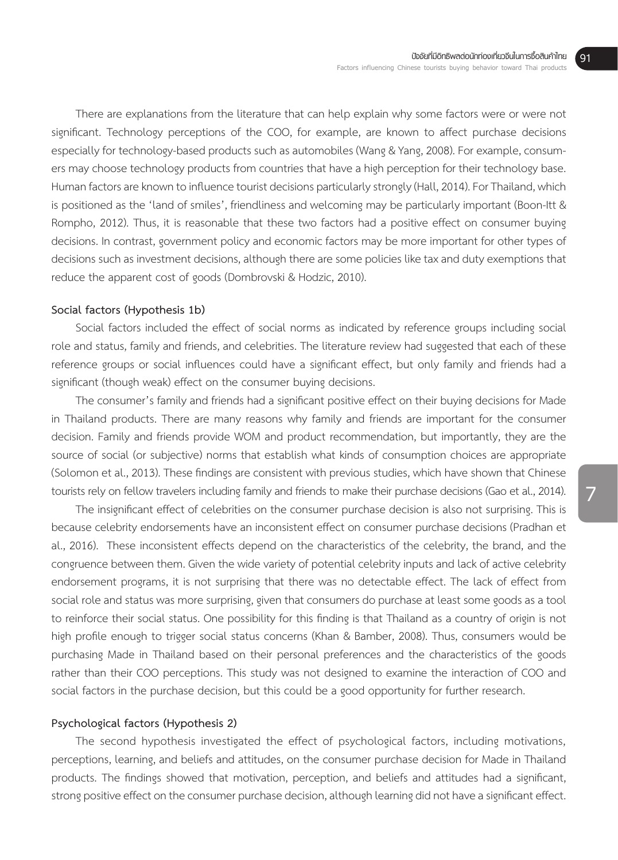There are explanations from the literature that can help explain why some factors were or were not significant. Technology perceptions of the COO, for example, are known to affect purchase decisions especially for technology-based products such as automobiles (Wang & Yang, 2008). For example, consumers may choose technology products from countries that have a high perception for their technology base. Human factors are known to influence tourist decisions particularly strongly (Hall, 2014). For Thailand, which is positioned as the 'land of smiles', friendliness and welcoming may be particularly important (Boon-Itt & Rompho, 2012). Thus, it is reasonable that these two factors had a positive effect on consumer buying decisions. In contrast, government policy and economic factors may be more important for other types of decisions such as investment decisions, although there are some policies like tax and duty exemptions that reduce the apparent cost of goods (Dombrovski & Hodzic, 2010).

#### **Social factors (Hypothesis 1b)**

Social factors included the effect of social norms as indicated by reference groups including social role and status, family and friends, and celebrities. The literature review had suggested that each of these reference groups or social influences could have a significant effect, but only family and friends had a significant (though weak) effect on the consumer buying decisions.

The consumer's family and friends had a significant positive effect on their buying decisions for Made in Thailand products. There are many reasons why family and friends are important for the consumer decision. Family and friends provide WOM and product recommendation, but importantly, they are the source of social (or subjective) norms that establish what kinds of consumption choices are appropriate (Solomon et al., 2013). These findings are consistent with previous studies, which have shown that Chinese tourists rely on fellow travelers including family and friends to make their purchase decisions (Gao et al., 2014).

The insignificant effect of celebrities on the consumer purchase decision is also not surprising. This is because celebrity endorsements have an inconsistent effect on consumer purchase decisions (Pradhan et al., 2016). These inconsistent effects depend on the characteristics of the celebrity, the brand, and the congruence between them. Given the wide variety of potential celebrity inputs and lack of active celebrity endorsement programs, it is not surprising that there was no detectable effect. The lack of effect from social role and status was more surprising, given that consumers do purchase at least some goods as a tool to reinforce their social status. One possibility for this finding is that Thailand as a country of origin is not high profile enough to trigger social status concerns (Khan & Bamber, 2008). Thus, consumers would be purchasing Made in Thailand based on their personal preferences and the characteristics of the goods rather than their COO perceptions. This study was not designed to examine the interaction of COO and social factors in the purchase decision, but this could be a good opportunity for further research.

#### **Psychological factors (Hypothesis 2)**

The second hypothesis investigated the effect of psychological factors, including motivations, perceptions, learning, and beliefs and attitudes, on the consumer purchase decision for Made in Thailand products. The findings showed that motivation, perception, and beliefs and attitudes had a significant, strong positive effect on the consumer purchase decision, although learning did not have a significant effect.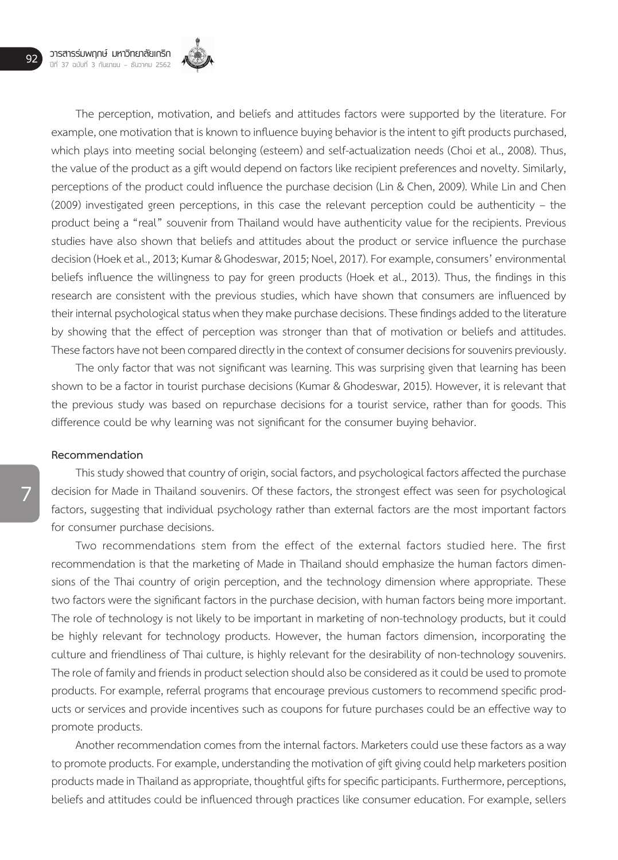

The perception, motivation, and beliefs and attitudes factors were supported by the literature. For example, one motivation that is known to influence buying behavior is the intent to gift products purchased, which plays into meeting social belonging (esteem) and self-actualization needs (Choi et al., 2008). Thus, the value of the product as a gift would depend on factors like recipient preferences and novelty. Similarly, perceptions of the product could influence the purchase decision (Lin & Chen, 2009). While Lin and Chen (2009) investigated green perceptions, in this case the relevant perception could be authenticity – the product being a "real" souvenir from Thailand would have authenticity value for the recipients. Previous studies have also shown that beliefs and attitudes about the product or service influence the purchase decision (Hoek et al., 2013; Kumar & Ghodeswar, 2015; Noel, 2017). For example, consumers' environmental beliefs influence the willingness to pay for green products (Hoek et al., 2013). Thus, the findings in this research are consistent with the previous studies, which have shown that consumers are influenced by their internal psychological status when they make purchase decisions. These findings added to the literature by showing that the effect of perception was stronger than that of motivation or beliefs and attitudes. These factors have not been compared directly in the context of consumer decisions for souvenirs previously.

The only factor that was not significant was learning. This was surprising given that learning has been shown to be a factor in tourist purchase decisions (Kumar & Ghodeswar, 2015). However, it is relevant that the previous study was based on repurchase decisions for a tourist service, rather than for goods. This difference could be why learning was not significant for the consumer buying behavior.

#### **Recommendation**

This study showed that country of origin, social factors, and psychological factors affected the purchase decision for Made in Thailand souvenirs. Of these factors, the strongest effect was seen for psychological factors, suggesting that individual psychology rather than external factors are the most important factors for consumer purchase decisions.

Two recommendations stem from the effect of the external factors studied here. The first recommendation is that the marketing of Made in Thailand should emphasize the human factors dimensions of the Thai country of origin perception, and the technology dimension where appropriate. These two factors were the significant factors in the purchase decision, with human factors being more important. The role of technology is not likely to be important in marketing of non-technology products, but it could be highly relevant for technology products. However, the human factors dimension, incorporating the culture and friendliness of Thai culture, is highly relevant for the desirability of non-technology souvenirs. The role of family and friends in product selection should also be considered as it could be used to promote products. For example, referral programs that encourage previous customers to recommend specific products or services and provide incentives such as coupons for future purchases could be an effective way to promote products.

Another recommendation comes from the internal factors. Marketers could use these factors as a way to promote products. For example, understanding the motivation of gift giving could help marketers position products made in Thailand as appropriate, thoughtful gifts for specific participants. Furthermore, perceptions, beliefs and attitudes could be influenced through practices like consumer education. For example, sellers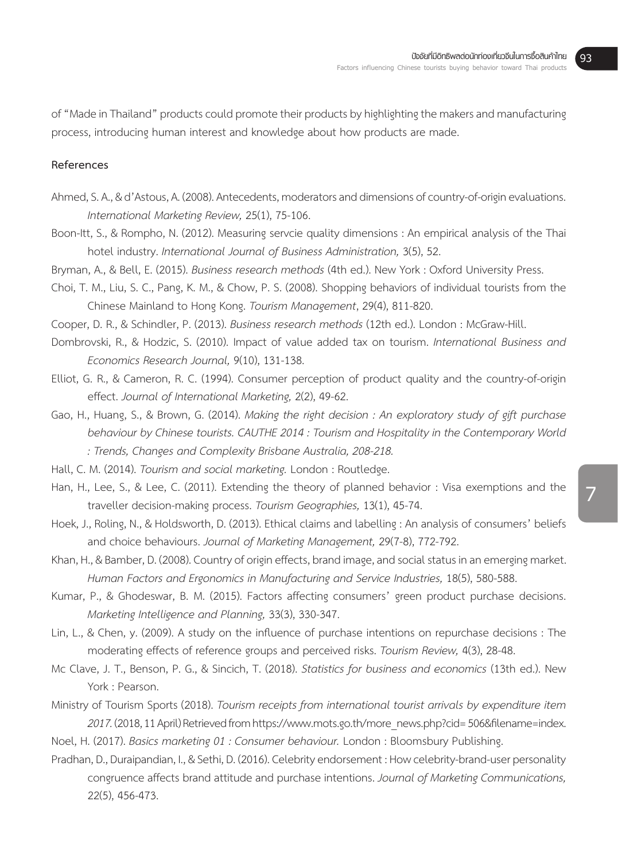of "Made in Thailand" products could promote their products by highlighting the makers and manufacturing process, introducing human interest and knowledge about how products are made.

# **References**

- Ahmed, S. A., & d'Astous, A. (2008). Antecedents, moderators and dimensions of country-of-origin evaluations. *International Marketing Review,* 25(1), 75-106.
- Boon-Itt, S., & Rompho, N. (2012). Measuring servcie quality dimensions : An empirical analysis of the Thai hotel industry. *International Journal of Business Administration,* 3(5), 52.
- Bryman, A., & Bell, E. (2015). *Business research methods* (4th ed.). New York : Oxford University Press.
- Choi, T. M., Liu, S. C., Pang, K. M., & Chow, P. S. (2008). Shopping behaviors of individual tourists from the Chinese Mainland to Hong Kong. *Tourism Management*, 29(4), 811-820.

Cooper, D. R., & Schindler, P. (2013). *Business research methods* (12th ed.). London : McGraw-Hill.

- Dombrovski, R., & Hodzic, S. (2010). Impact of value added tax on tourism. *International Business and Economics Research Journal,* 9(10), 131-138.
- Elliot, G. R., & Cameron, R. C. (1994). Consumer perception of product quality and the country-of-origin effect. *Journal of International Marketing,* 2(2), 49-62.
- Gao, H., Huang, S., & Brown, G. (2014). *Making the right decision : An exploratory study of gift purchase behaviour by Chinese tourists. CAUTHE 2014 : Tourism and Hospitality in the Contemporary World : Trends, Changes and Complexity Brisbane Australia, 208-218.*
- Hall, C. M. (2014). *Tourism and social marketing.* London : Routledge.
- Han, H., Lee, S., & Lee, C. (2011). Extending the theory of planned behavior : Visa exemptions and the traveller decision-making process. *Tourism Geographies,* 13(1), 45-74.
- Hoek, J., Roling, N., & Holdsworth, D. (2013). Ethical claims and labelling : An analysis of consumers' beliefs and choice behaviours. *Journal of Marketing Management,* 29(7-8), 772-792.
- Khan, H., & Bamber, D. (2008). Country of origin effects, brand image, and social status in an emerging market. Human Factors and Ergonomics in Manufacturing and Service Industries, 18(5), 580-588.
- Kumar, P., & Ghodeswar, B. M. (2015). Factors affecting consumers' green product purchase decisions. *Marketing Intelligence and Planning,* 33(3), 330-347.
- Lin, L., & Chen, y. (2009). A study on the influence of purchase intentions on repurchase decisions : The moderating effects of reference groups and perceived risks. *Tourism Review,* 4(3), 28-48.
- Mc Clave, J. T., Benson, P. G., & Sincich, T. (2018). *Statistics for business and economics* (13th ed.). New York : Pearson.
- Ministry of Tourism Sports (2018). *Tourism receipts from international tourist arrivals by expenditure item 2017.* (2018, 11 April) Retrieved from https://www.mots.go.th/more\_news.php?cid= 506&filename=index.
- Noel, H. (2017). *Basics marketing 01 : Consumer behaviour.* London : Bloomsbury Publishing.
- Pradhan, D., Duraipandian, I., & Sethi, D. (2016). Celebrity endorsement : How celebrity-brand-user personality congruence affects brand attitude and purchase intentions. *Journal of Marketing Communications,*  22(5), 456-473.